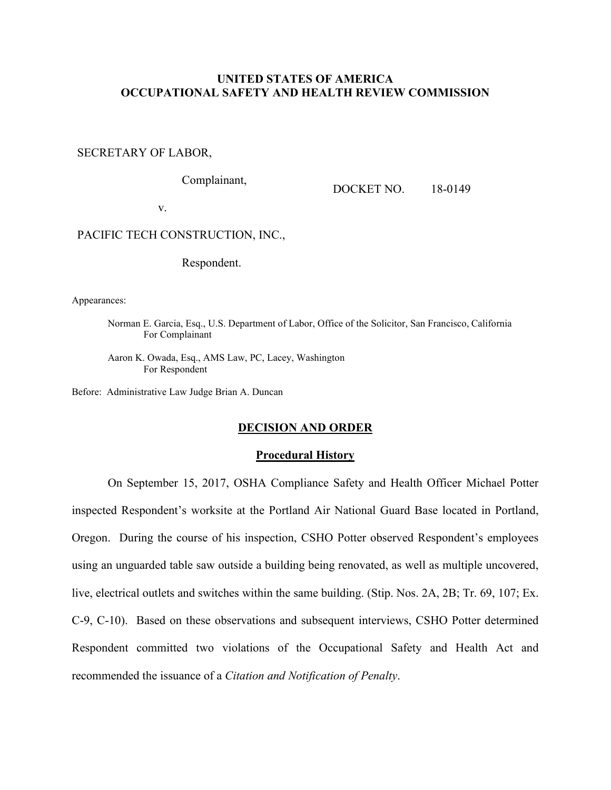# **UNITED STATES OF AMERICA OCCUPATIONAL SAFETY AND HEALTH REVIEW COMMISSION**

#### SECRETARY OF LABOR,

Complainant,

DOCKET NO. 18-0149

v.

# PACIFIC TECH CONSTRUCTION, INC.,

Respondent.

Appearances:

Norman E. Garcia, Esq., U.S. Department of Labor, Office of the Solicitor, San Francisco, California For Complainant

Aaron K. Owada, Esq., AMS Law, PC, Lacey, Washington For Respondent

Before: Administrative Law Judge Brian A. Duncan

# **DECISION AND ORDER**

### **Procedural History**

On September 15, 2017, OSHA Compliance Safety and Health Officer Michael Potter inspected Respondent's worksite at the Portland Air National Guard Base located in Portland, Oregon. During the course of his inspection, CSHO Potter observed Respondent's employees using an unguarded table saw outside a building being renovated, as well as multiple uncovered, live, electrical outlets and switches within the same building. (Stip. Nos. 2A, 2B; Tr. 69, 107; Ex. C-9, C-10). Based on these observations and subsequent interviews, CSHO Potter determined Respondent committed two violations of the Occupational Safety and Health Act and recommended the issuance of a *Citation and Notification of Penalty*.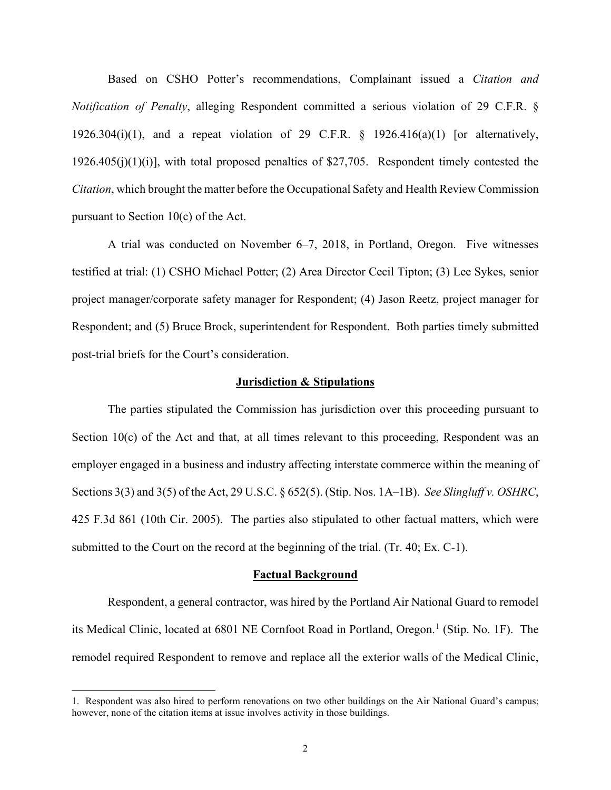Based on CSHO Potter's recommendations, Complainant issued a *Citation and Notification of Penalty*, alleging Respondent committed a serious violation of 29 C.F.R. § 1926.304(i)(1), and a repeat violation of 29 C.F.R.  $\S$  1926.416(a)(1) [or alternatively, 1926.405(j)(1)(i)], with total proposed penalties of \$27,705. Respondent timely contested the *Citation*, which brought the matter before the Occupational Safety and Health Review Commission pursuant to Section 10(c) of the Act.

A trial was conducted on November 6–7, 2018, in Portland, Oregon. Five witnesses testified at trial: (1) CSHO Michael Potter; (2) Area Director Cecil Tipton; (3) Lee Sykes, senior project manager/corporate safety manager for Respondent; (4) Jason Reetz, project manager for Respondent; and (5) Bruce Brock, superintendent for Respondent. Both parties timely submitted post-trial briefs for the Court's consideration.

#### **Jurisdiction & Stipulations**

The parties stipulated the Commission has jurisdiction over this proceeding pursuant to Section  $10(c)$  of the Act and that, at all times relevant to this proceeding, Respondent was an employer engaged in a business and industry affecting interstate commerce within the meaning of Sections 3(3) and 3(5) of the Act, 29 U.S.C. § 652(5). (Stip. Nos. 1A–1B). *See Slingluff v. OSHRC*, 425 F.3d 861 (10th Cir. 2005). The parties also stipulated to other factual matters, which were submitted to the Court on the record at the beginning of the trial. (Tr. 40; Ex. C-1).

### **Factual Background**

Respondent, a general contractor, was hired by the Portland Air National Guard to remodel its Medical Clinic, located at 680[1](#page-1-0) NE Cornfoot Road in Portland, Oregon.<sup>1</sup> (Stip. No. 1F). The remodel required Respondent to remove and replace all the exterior walls of the Medical Clinic,

<span id="page-1-0"></span><sup>1.</sup> Respondent was also hired to perform renovations on two other buildings on the Air National Guard's campus; however, none of the citation items at issue involves activity in those buildings.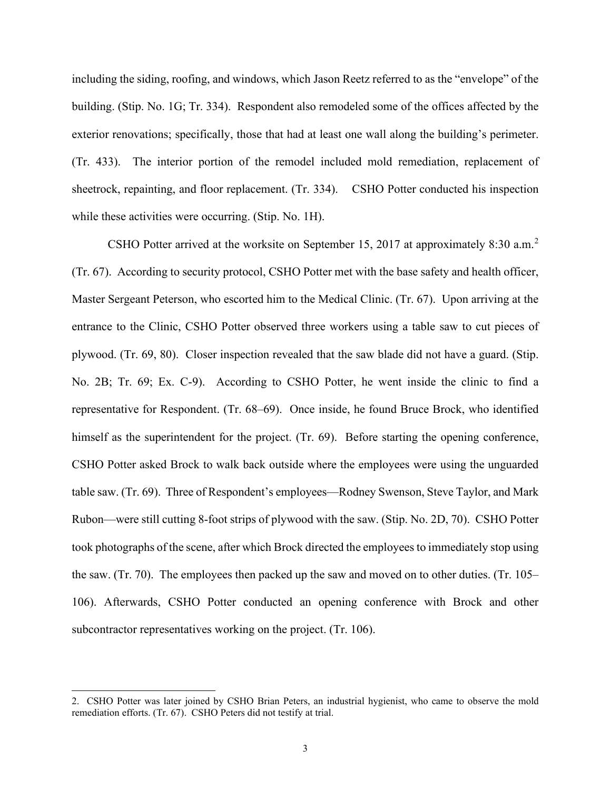including the siding, roofing, and windows, which Jason Reetz referred to as the "envelope" of the building. (Stip. No. 1G; Tr. 334). Respondent also remodeled some of the offices affected by the exterior renovations; specifically, those that had at least one wall along the building's perimeter. (Tr. 433). The interior portion of the remodel included mold remediation, replacement of sheetrock, repainting, and floor replacement. (Tr. 334). CSHO Potter conducted his inspection while these activities were occurring. (Stip. No. 1H).

CSHO Potter arrived at the worksite on September 15, [2](#page-2-0)017 at approximately 8:30 a.m.<sup>2</sup> (Tr. 67). According to security protocol, CSHO Potter met with the base safety and health officer, Master Sergeant Peterson, who escorted him to the Medical Clinic. (Tr. 67). Upon arriving at the entrance to the Clinic, CSHO Potter observed three workers using a table saw to cut pieces of plywood. (Tr. 69, 80). Closer inspection revealed that the saw blade did not have a guard. (Stip. No. 2B; Tr. 69; Ex. C-9). According to CSHO Potter, he went inside the clinic to find a representative for Respondent. (Tr. 68–69). Once inside, he found Bruce Brock, who identified himself as the superintendent for the project. (Tr. 69). Before starting the opening conference, CSHO Potter asked Brock to walk back outside where the employees were using the unguarded table saw. (Tr. 69). Three of Respondent's employees—Rodney Swenson, Steve Taylor, and Mark Rubon—were still cutting 8-foot strips of plywood with the saw. (Stip. No. 2D, 70). CSHO Potter took photographs of the scene, after which Brock directed the employees to immediately stop using the saw. (Tr. 70). The employees then packed up the saw and moved on to other duties. (Tr. 105– 106). Afterwards, CSHO Potter conducted an opening conference with Brock and other subcontractor representatives working on the project. (Tr. 106).

<span id="page-2-0"></span><sup>2.</sup> CSHO Potter was later joined by CSHO Brian Peters, an industrial hygienist, who came to observe the mold remediation efforts. (Tr. 67). CSHO Peters did not testify at trial.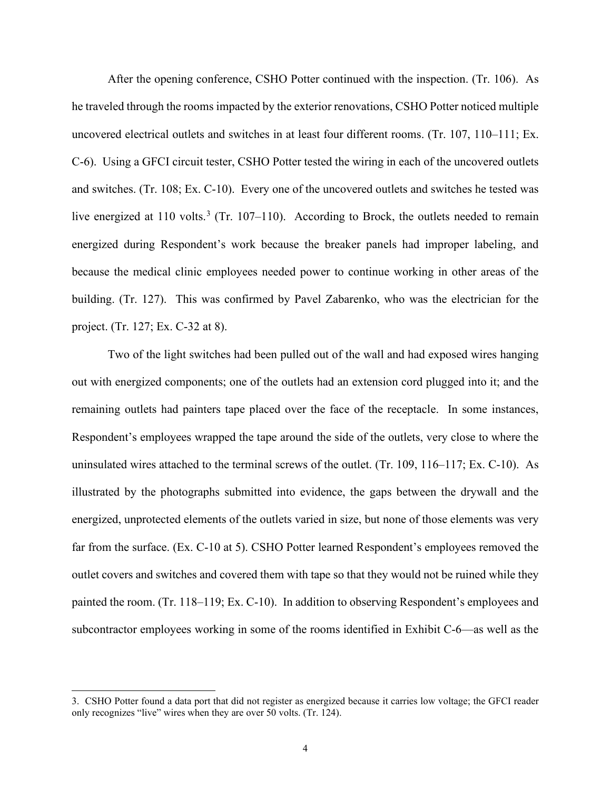After the opening conference, CSHO Potter continued with the inspection. (Tr. 106). As he traveled through the rooms impacted by the exterior renovations, CSHO Potter noticed multiple uncovered electrical outlets and switches in at least four different rooms. (Tr. 107, 110–111; Ex. C-6). Using a GFCI circuit tester, CSHO Potter tested the wiring in each of the uncovered outlets and switches. (Tr. 108; Ex. C-10). Every one of the uncovered outlets and switches he tested was live energized at 110 volts.<sup>[3](#page-3-0)</sup> (Tr. 107–110). According to Brock, the outlets needed to remain energized during Respondent's work because the breaker panels had improper labeling, and because the medical clinic employees needed power to continue working in other areas of the building. (Tr. 127). This was confirmed by Pavel Zabarenko, who was the electrician for the project. (Tr. 127; Ex. C-32 at 8).

Two of the light switches had been pulled out of the wall and had exposed wires hanging out with energized components; one of the outlets had an extension cord plugged into it; and the remaining outlets had painters tape placed over the face of the receptacle. In some instances, Respondent's employees wrapped the tape around the side of the outlets, very close to where the uninsulated wires attached to the terminal screws of the outlet. (Tr. 109, 116–117; Ex. C-10). As illustrated by the photographs submitted into evidence, the gaps between the drywall and the energized, unprotected elements of the outlets varied in size, but none of those elements was very far from the surface. (Ex. C-10 at 5). CSHO Potter learned Respondent's employees removed the outlet covers and switches and covered them with tape so that they would not be ruined while they painted the room. (Tr. 118–119; Ex. C-10). In addition to observing Respondent's employees and subcontractor employees working in some of the rooms identified in Exhibit C-6—as well as the

<span id="page-3-0"></span><sup>3.</sup> CSHO Potter found a data port that did not register as energized because it carries low voltage; the GFCI reader only recognizes "live" wires when they are over 50 volts. (Tr. 124).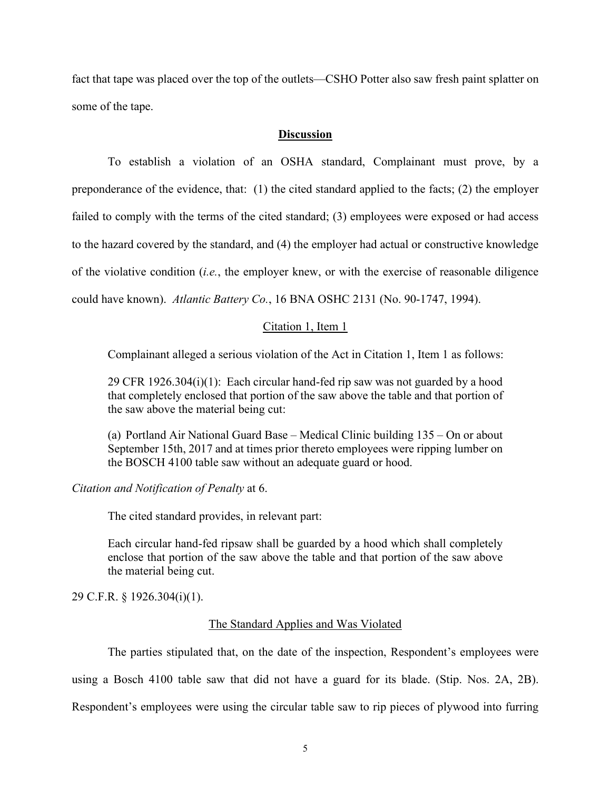fact that tape was placed over the top of the outlets—CSHO Potter also saw fresh paint splatter on some of the tape.

# **Discussion**

To establish a violation of an OSHA standard, Complainant must prove, by a preponderance of the evidence, that: (1) the cited standard applied to the facts; (2) the employer failed to comply with the terms of the cited standard; (3) employees were exposed or had access to the hazard covered by the standard, and (4) the employer had actual or constructive knowledge of the violative condition (*i.e.*, the employer knew, or with the exercise of reasonable diligence could have known). *Atlantic Battery Co.*, 16 BNA OSHC 2131 (No. 90-1747, 1994).

## Citation 1, Item 1

Complainant alleged a serious violation of the Act in Citation 1, Item 1 as follows:

29 CFR 1926.304(i)(1): Each circular hand-fed rip saw was not guarded by a hood that completely enclosed that portion of the saw above the table and that portion of the saw above the material being cut:

(a) Portland Air National Guard Base – Medical Clinic building 135 – On or about September 15th, 2017 and at times prior thereto employees were ripping lumber on the BOSCH 4100 table saw without an adequate guard or hood.

*Citation and Notification of Penalty* at 6.

The cited standard provides, in relevant part:

Each circular hand-fed ripsaw shall be guarded by a hood which shall completely enclose that portion of the saw above the table and that portion of the saw above the material being cut.

29 C.F.R. § 1926.304(i)(1).

# The Standard Applies and Was Violated

The parties stipulated that, on the date of the inspection, Respondent's employees were

using a Bosch 4100 table saw that did not have a guard for its blade. (Stip. Nos. 2A, 2B).

Respondent's employees were using the circular table saw to rip pieces of plywood into furring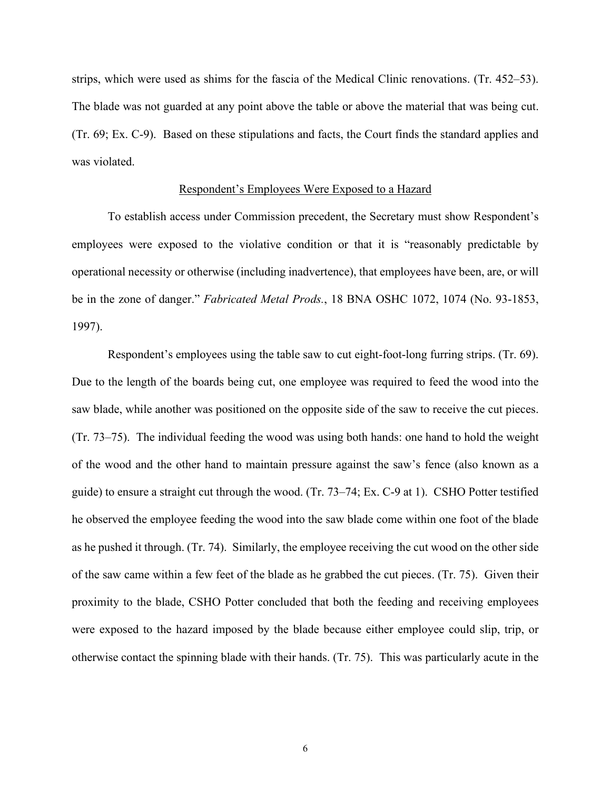strips, which were used as shims for the fascia of the Medical Clinic renovations. (Tr. 452–53). The blade was not guarded at any point above the table or above the material that was being cut. (Tr. 69; Ex. C-9). Based on these stipulations and facts, the Court finds the standard applies and was violated.

### Respondent's Employees Were Exposed to a Hazard

To establish access under Commission precedent, the Secretary must show Respondent's employees were exposed to the violative condition or that it is "reasonably predictable by operational necessity or otherwise (including inadvertence), that employees have been, are, or will be in the zone of danger." *Fabricated Metal Prods.*, 18 BNA OSHC 1072, 1074 (No. 93-1853, 1997).

 Respondent's employees using the table saw to cut eight-foot-long furring strips. (Tr. 69). Due to the length of the boards being cut, one employee was required to feed the wood into the saw blade, while another was positioned on the opposite side of the saw to receive the cut pieces. (Tr. 73–75). The individual feeding the wood was using both hands: one hand to hold the weight of the wood and the other hand to maintain pressure against the saw's fence (also known as a guide) to ensure a straight cut through the wood. (Tr. 73–74; Ex. C-9 at 1). CSHO Potter testified he observed the employee feeding the wood into the saw blade come within one foot of the blade as he pushed it through. (Tr. 74). Similarly, the employee receiving the cut wood on the other side of the saw came within a few feet of the blade as he grabbed the cut pieces. (Tr. 75). Given their proximity to the blade, CSHO Potter concluded that both the feeding and receiving employees were exposed to the hazard imposed by the blade because either employee could slip, trip, or otherwise contact the spinning blade with their hands. (Tr. 75). This was particularly acute in the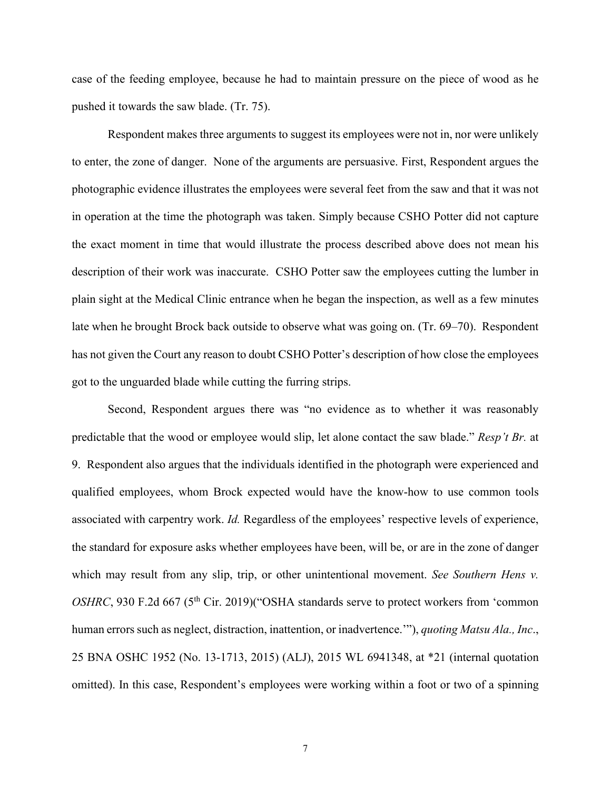case of the feeding employee, because he had to maintain pressure on the piece of wood as he pushed it towards the saw blade. (Tr. 75).

 Respondent makes three arguments to suggest its employees were not in, nor were unlikely to enter, the zone of danger. None of the arguments are persuasive. First, Respondent argues the photographic evidence illustrates the employees were several feet from the saw and that it was not in operation at the time the photograph was taken. Simply because CSHO Potter did not capture the exact moment in time that would illustrate the process described above does not mean his description of their work was inaccurate. CSHO Potter saw the employees cutting the lumber in plain sight at the Medical Clinic entrance when he began the inspection, as well as a few minutes late when he brought Brock back outside to observe what was going on. (Tr. 69–70). Respondent has not given the Court any reason to doubt CSHO Potter's description of how close the employees got to the unguarded blade while cutting the furring strips.

Second, Respondent argues there was "no evidence as to whether it was reasonably predictable that the wood or employee would slip, let alone contact the saw blade." *Resp't Br.* at 9. Respondent also argues that the individuals identified in the photograph were experienced and qualified employees, whom Brock expected would have the know-how to use common tools associated with carpentry work. *Id.* Regardless of the employees' respective levels of experience, the standard for exposure asks whether employees have been, will be, or are in the zone of danger which may result from any slip, trip, or other unintentional movement. *See Southern Hens v*. *OSHRC*, 930 F.2d 667 (5<sup>th</sup> Cir. 2019)("OSHA standards serve to protect workers from 'common human errors such as neglect, distraction, inattention, or inadvertence.'"), *quoting Matsu Ala., Inc*., 25 BNA OSHC 1952 (No. 13-1713, 2015) (ALJ), 2015 WL 6941348, at \*21 (internal quotation omitted). In this case, Respondent's employees were working within a foot or two of a spinning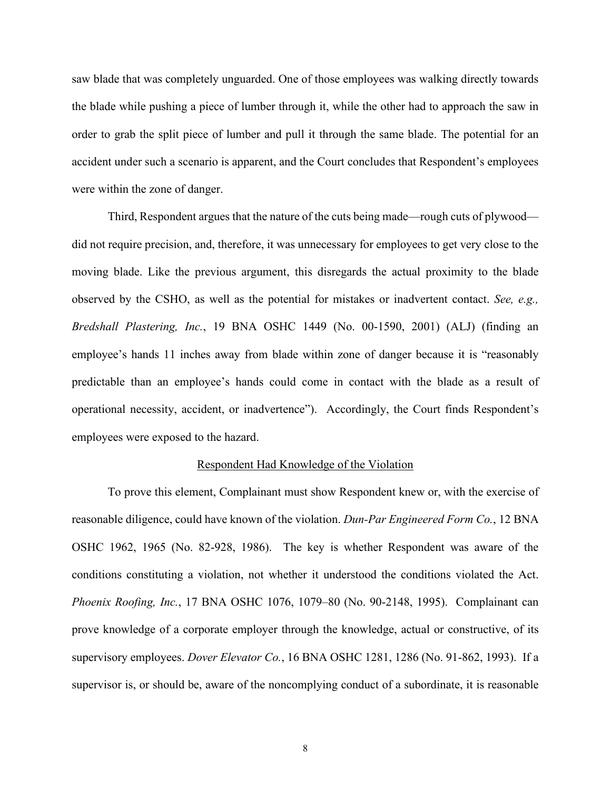saw blade that was completely unguarded. One of those employees was walking directly towards the blade while pushing a piece of lumber through it, while the other had to approach the saw in order to grab the split piece of lumber and pull it through the same blade. The potential for an accident under such a scenario is apparent, and the Court concludes that Respondent's employees were within the zone of danger.

Third, Respondent argues that the nature of the cuts being made—rough cuts of plywood did not require precision, and, therefore, it was unnecessary for employees to get very close to the moving blade. Like the previous argument, this disregards the actual proximity to the blade observed by the CSHO, as well as the potential for mistakes or inadvertent contact. *See, e.g., Bredshall Plastering, Inc.*, 19 BNA OSHC 1449 (No. 00-1590, 2001) (ALJ) (finding an employee's hands 11 inches away from blade within zone of danger because it is "reasonably predictable than an employee's hands could come in contact with the blade as a result of operational necessity, accident, or inadvertence"). Accordingly, the Court finds Respondent's employees were exposed to the hazard.

## Respondent Had Knowledge of the Violation

To prove this element, Complainant must show Respondent knew or, with the exercise of reasonable diligence, could have known of the violation. *Dun-Par Engineered Form Co.*, 12 BNA OSHC 1962, 1965 (No. 82-928, 1986). The key is whether Respondent was aware of the conditions constituting a violation, not whether it understood the conditions violated the Act. *Phoenix Roofing, Inc.*, 17 BNA OSHC 1076, 1079–80 (No. 90-2148, 1995). Complainant can prove knowledge of a corporate employer through the knowledge, actual or constructive, of its supervisory employees. *Dover Elevator Co.*, 16 BNA OSHC 1281, 1286 (No. 91-862, 1993). If a supervisor is, or should be, aware of the noncomplying conduct of a subordinate, it is reasonable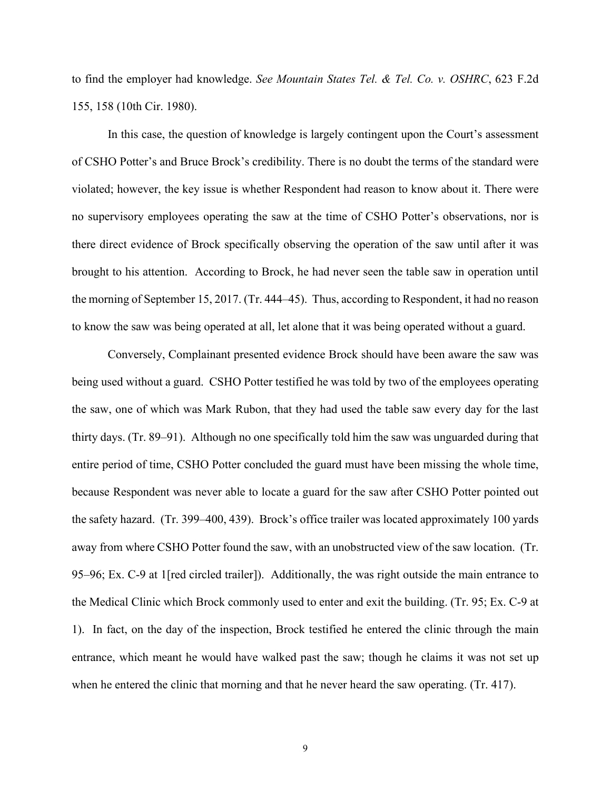to find the employer had knowledge. *See Mountain States Tel. & Tel. Co. v. OSHRC*, 623 F.2d 155, 158 (10th Cir. 1980).

In this case, the question of knowledge is largely contingent upon the Court's assessment of CSHO Potter's and Bruce Brock's credibility. There is no doubt the terms of the standard were violated; however, the key issue is whether Respondent had reason to know about it. There were no supervisory employees operating the saw at the time of CSHO Potter's observations, nor is there direct evidence of Brock specifically observing the operation of the saw until after it was brought to his attention. According to Brock, he had never seen the table saw in operation until the morning of September 15, 2017. (Tr. 444–45). Thus, according to Respondent, it had no reason to know the saw was being operated at all, let alone that it was being operated without a guard.

Conversely, Complainant presented evidence Brock should have been aware the saw was being used without a guard. CSHO Potter testified he was told by two of the employees operating the saw, one of which was Mark Rubon, that they had used the table saw every day for the last thirty days. (Tr. 89–91). Although no one specifically told him the saw was unguarded during that entire period of time, CSHO Potter concluded the guard must have been missing the whole time, because Respondent was never able to locate a guard for the saw after CSHO Potter pointed out the safety hazard. (Tr. 399–400, 439). Brock's office trailer was located approximately 100 yards away from where CSHO Potter found the saw, with an unobstructed view of the saw location. (Tr. 95–96; Ex. C-9 at 1[red circled trailer]). Additionally, the was right outside the main entrance to the Medical Clinic which Brock commonly used to enter and exit the building. (Tr. 95; Ex. C-9 at 1). In fact, on the day of the inspection, Brock testified he entered the clinic through the main entrance, which meant he would have walked past the saw; though he claims it was not set up when he entered the clinic that morning and that he never heard the saw operating. (Tr. 417).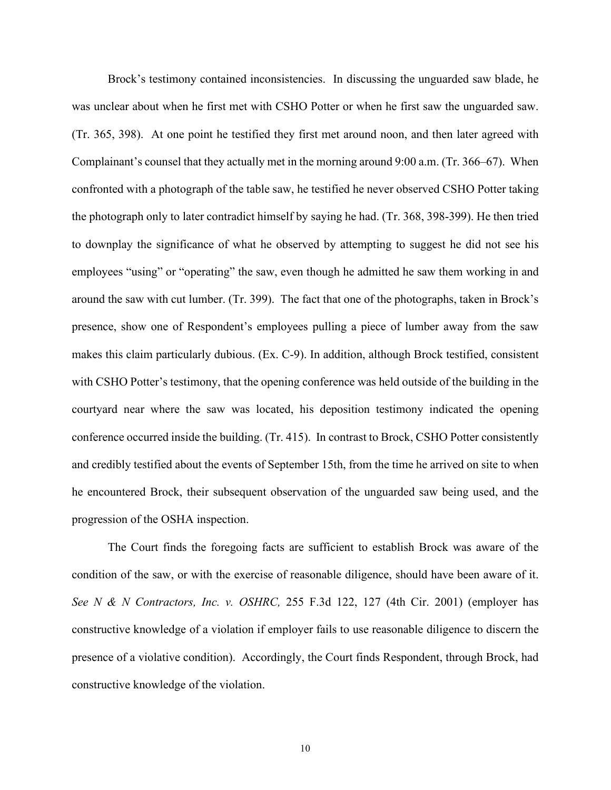Brock's testimony contained inconsistencies. In discussing the unguarded saw blade, he was unclear about when he first met with CSHO Potter or when he first saw the unguarded saw. (Tr. 365, 398). At one point he testified they first met around noon, and then later agreed with Complainant's counsel that they actually met in the morning around 9:00 a.m. (Tr. 366–67). When confronted with a photograph of the table saw, he testified he never observed CSHO Potter taking the photograph only to later contradict himself by saying he had. (Tr. 368, 398-399). He then tried to downplay the significance of what he observed by attempting to suggest he did not see his employees "using" or "operating" the saw, even though he admitted he saw them working in and around the saw with cut lumber. (Tr. 399). The fact that one of the photographs, taken in Brock's presence, show one of Respondent's employees pulling a piece of lumber away from the saw makes this claim particularly dubious. (Ex. C-9). In addition, although Brock testified, consistent with CSHO Potter's testimony, that the opening conference was held outside of the building in the courtyard near where the saw was located, his deposition testimony indicated the opening conference occurred inside the building. (Tr. 415). In contrast to Brock, CSHO Potter consistently and credibly testified about the events of September 15th, from the time he arrived on site to when he encountered Brock, their subsequent observation of the unguarded saw being used, and the progression of the OSHA inspection.

The Court finds the foregoing facts are sufficient to establish Brock was aware of the condition of the saw, or with the exercise of reasonable diligence, should have been aware of it. *See N & N Contractors, Inc. v. OSHRC,* 255 F.3d 122, 127 (4th Cir. 2001) (employer has constructive knowledge of a violation if employer fails to use reasonable diligence to discern the presence of a violative condition). Accordingly, the Court finds Respondent, through Brock, had constructive knowledge of the violation.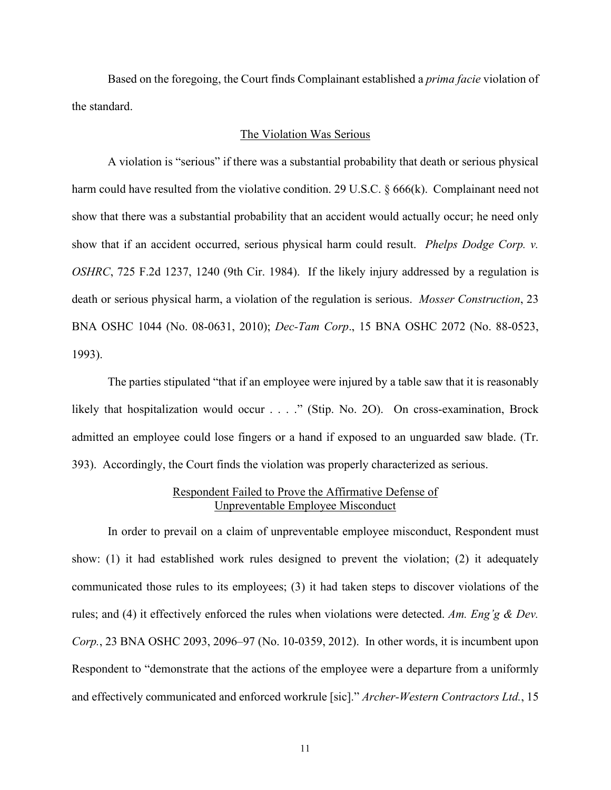Based on the foregoing, the Court finds Complainant established a *prima facie* violation of the standard.

## The Violation Was Serious

A violation is "serious" if there was a substantial probability that death or serious physical harm could have resulted from the violative condition. 29 U.S.C.  $\S 666(k)$ . Complainant need not show that there was a substantial probability that an accident would actually occur; he need only show that if an accident occurred, serious physical harm could result. *Phelps Dodge Corp. v. OSHRC*, 725 F.2d 1237, 1240 (9th Cir. 1984). If the likely injury addressed by a regulation is death or serious physical harm, a violation of the regulation is serious. *Mosser Construction*, 23 BNA OSHC 1044 (No. 08-0631, 2010); *Dec-Tam Corp*., 15 BNA OSHC 2072 (No. 88-0523, 1993).

The parties stipulated "that if an employee were injured by a table saw that it is reasonably likely that hospitalization would occur . . . ." (Stip. No. 2O). On cross-examination, Brock admitted an employee could lose fingers or a hand if exposed to an unguarded saw blade. (Tr. 393). Accordingly, the Court finds the violation was properly characterized as serious.

# Respondent Failed to Prove the Affirmative Defense of Unpreventable Employee Misconduct

In order to prevail on a claim of unpreventable employee misconduct, Respondent must show: (1) it had established work rules designed to prevent the violation; (2) it adequately communicated those rules to its employees; (3) it had taken steps to discover violations of the rules; and (4) it effectively enforced the rules when violations were detected. *Am. Eng'g & Dev. Corp.*, 23 BNA OSHC 2093, 2096–97 (No. 10-0359, 2012). In other words, it is incumbent upon Respondent to "demonstrate that the actions of the employee were a departure from a uniformly and effectively communicated and enforced workrule [sic]." *Archer-Western Contractors Ltd.*, 15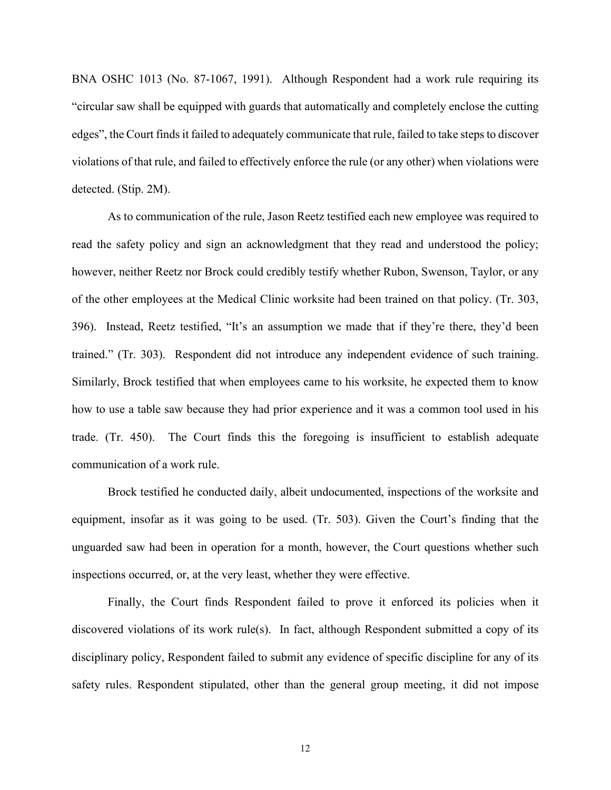BNA OSHC 1013 (No. 87-1067, 1991). Although Respondent had a work rule requiring its "circular saw shall be equipped with guards that automatically and completely enclose the cutting edges", the Court finds it failed to adequately communicate that rule, failed to take steps to discover violations of that rule, and failed to effectively enforce the rule (or any other) when violations were detected. (Stip. 2M).

As to communication of the rule, Jason Reetz testified each new employee was required to read the safety policy and sign an acknowledgment that they read and understood the policy; however, neither Reetz nor Brock could credibly testify whether Rubon, Swenson, Taylor, or any of the other employees at the Medical Clinic worksite had been trained on that policy. (Tr. 303, 396). Instead, Reetz testified, "It's an assumption we made that if they're there, they'd been trained." (Tr. 303). Respondent did not introduce any independent evidence of such training. Similarly, Brock testified that when employees came to his worksite, he expected them to know how to use a table saw because they had prior experience and it was a common tool used in his trade. (Tr. 450). The Court finds this the foregoing is insufficient to establish adequate communication of a work rule.

Brock testified he conducted daily, albeit undocumented, inspections of the worksite and equipment, insofar as it was going to be used. (Tr. 503). Given the Court's finding that the unguarded saw had been in operation for a month, however, the Court questions whether such inspections occurred, or, at the very least, whether they were effective.

Finally, the Court finds Respondent failed to prove it enforced its policies when it discovered violations of its work rule(s). In fact, although Respondent submitted a copy of its disciplinary policy, Respondent failed to submit any evidence of specific discipline for any of its safety rules. Respondent stipulated, other than the general group meeting, it did not impose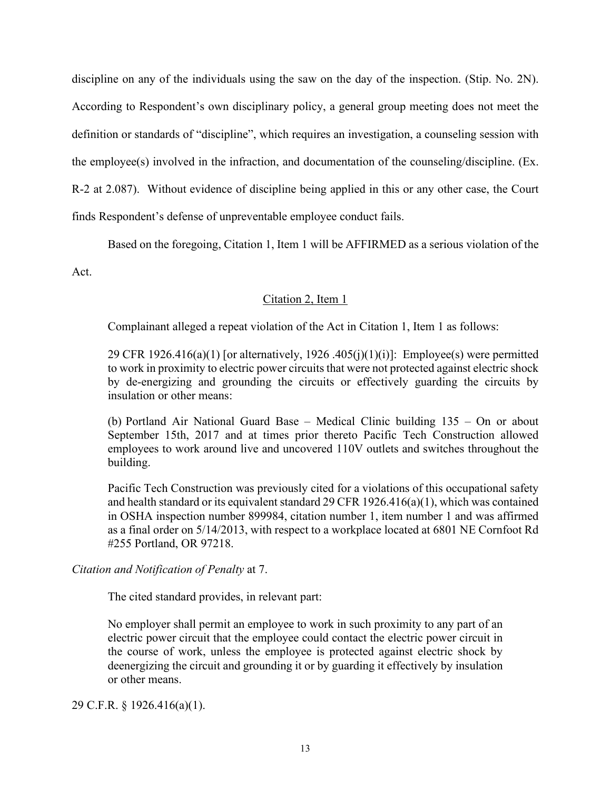discipline on any of the individuals using the saw on the day of the inspection. (Stip. No. 2N). According to Respondent's own disciplinary policy, a general group meeting does not meet the definition or standards of "discipline", which requires an investigation, a counseling session with the employee(s) involved in the infraction, and documentation of the counseling/discipline. (Ex. R-2 at 2.087). Without evidence of discipline being applied in this or any other case, the Court finds Respondent's defense of unpreventable employee conduct fails.

Based on the foregoing, Citation 1, Item 1 will be AFFIRMED as a serious violation of the

Act.

# Citation 2, Item 1

Complainant alleged a repeat violation of the Act in Citation 1, Item 1 as follows:

29 CFR  $1926.416(a)(1)$  [or alternatively,  $1926.405(i)(1)(i)$ ]: Employee(s) were permitted to work in proximity to electric power circuits that were not protected against electric shock by de-energizing and grounding the circuits or effectively guarding the circuits by insulation or other means:

(b) Portland Air National Guard Base – Medical Clinic building 135 – On or about September 15th, 2017 and at times prior thereto Pacific Tech Construction allowed employees to work around live and uncovered 110V outlets and switches throughout the building.

Pacific Tech Construction was previously cited for a violations of this occupational safety and health standard or its equivalent standard 29 CFR 1926.416(a)(1), which was contained in OSHA inspection number 899984, citation number 1, item number 1 and was affirmed as a final order on 5/14/2013, with respect to a workplace located at 6801 NE Cornfoot Rd #255 Portland, OR 97218.

# *Citation and Notification of Penalty* at 7.

The cited standard provides, in relevant part:

No employer shall permit an employee to work in such proximity to any part of an electric power circuit that the employee could contact the electric power circuit in the course of work, unless the employee is protected against electric shock by deenergizing the circuit and grounding it or by guarding it effectively by insulation or other means.

29 C.F.R. § 1926.416(a)(1).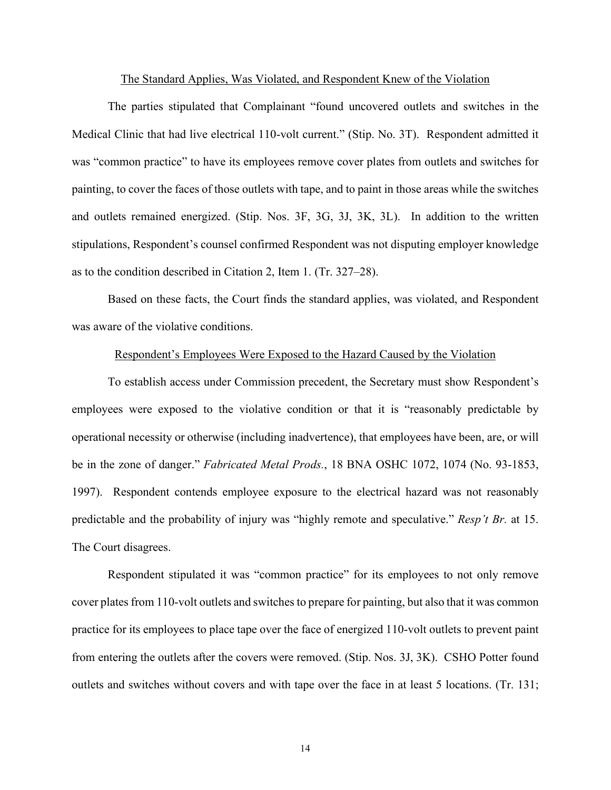#### The Standard Applies, Was Violated, and Respondent Knew of the Violation

The parties stipulated that Complainant "found uncovered outlets and switches in the Medical Clinic that had live electrical 110-volt current." (Stip. No. 3T). Respondent admitted it was "common practice" to have its employees remove cover plates from outlets and switches for painting, to cover the faces of those outlets with tape, and to paint in those areas while the switches and outlets remained energized. (Stip. Nos. 3F, 3G, 3J, 3K, 3L). In addition to the written stipulations, Respondent's counsel confirmed Respondent was not disputing employer knowledge as to the condition described in Citation 2, Item 1. (Tr. 327–28).

Based on these facts, the Court finds the standard applies, was violated, and Respondent was aware of the violative conditions.

# Respondent's Employees Were Exposed to the Hazard Caused by the Violation

To establish access under Commission precedent, the Secretary must show Respondent's employees were exposed to the violative condition or that it is "reasonably predictable by operational necessity or otherwise (including inadvertence), that employees have been, are, or will be in the zone of danger." *Fabricated Metal Prods.*, 18 BNA OSHC 1072, 1074 (No. 93-1853, 1997). Respondent contends employee exposure to the electrical hazard was not reasonably predictable and the probability of injury was "highly remote and speculative." *Resp't Br.* at 15. The Court disagrees.

Respondent stipulated it was "common practice" for its employees to not only remove cover plates from 110-volt outlets and switches to prepare for painting, but also that it was common practice for its employees to place tape over the face of energized 110-volt outlets to prevent paint from entering the outlets after the covers were removed. (Stip. Nos. 3J, 3K). CSHO Potter found outlets and switches without covers and with tape over the face in at least 5 locations. (Tr. 131;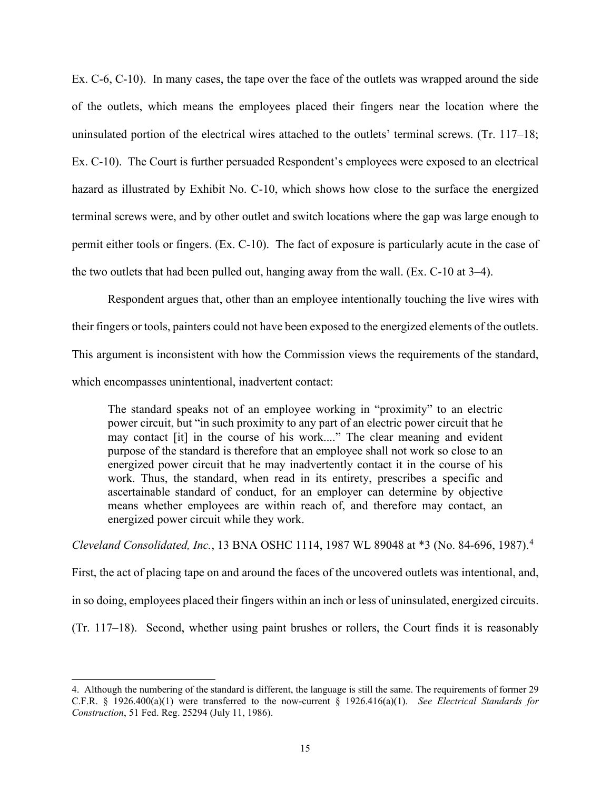Ex. C-6, C-10). In many cases, the tape over the face of the outlets was wrapped around the side of the outlets, which means the employees placed their fingers near the location where the uninsulated portion of the electrical wires attached to the outlets' terminal screws. (Tr. 117–18; Ex. C-10). The Court is further persuaded Respondent's employees were exposed to an electrical hazard as illustrated by Exhibit No. C-10, which shows how close to the surface the energized terminal screws were, and by other outlet and switch locations where the gap was large enough to permit either tools or fingers. (Ex. C-10). The fact of exposure is particularly acute in the case of the two outlets that had been pulled out, hanging away from the wall. (Ex. C-10 at 3–4).

 Respondent argues that, other than an employee intentionally touching the live wires with their fingers or tools, painters could not have been exposed to the energized elements of the outlets. This argument is inconsistent with how the Commission views the requirements of the standard, which encompasses unintentional, inadvertent contact:

The standard speaks not of an employee working in "proximity" to an electric power circuit, but "in such proximity to any part of an electric power circuit that he may contact [it] in the course of his work...." The clear meaning and evident purpose of the standard is therefore that an employee shall not work so close to an energized power circuit that he may inadvertently contact it in the course of his work. Thus, the standard, when read in its entirety, prescribes a specific and ascertainable standard of conduct, for an employer can determine by objective means whether employees are within reach of, and therefore may contact, an energized power circuit while they work.

*Cleveland Consolidated, Inc.*, 13 BNA OSHC 1114, 1987 WL 89048 at \*3 (No. 84-696, 1987).[4](#page-14-0)

First, the act of placing tape on and around the faces of the uncovered outlets was intentional, and, in so doing, employees placed their fingers within an inch or less of uninsulated, energized circuits. (Tr. 117–18). Second, whether using paint brushes or rollers, the Court finds it is reasonably

<span id="page-14-0"></span><sup>4.</sup> Although the numbering of the standard is different, the language is still the same. The requirements of former 29 C.F.R. § 1926.400(a)(1) were transferred to the now-current § 1926.416(a)(1). *See Electrical Standards for Construction*, 51 Fed. Reg. 25294 (July 11, 1986).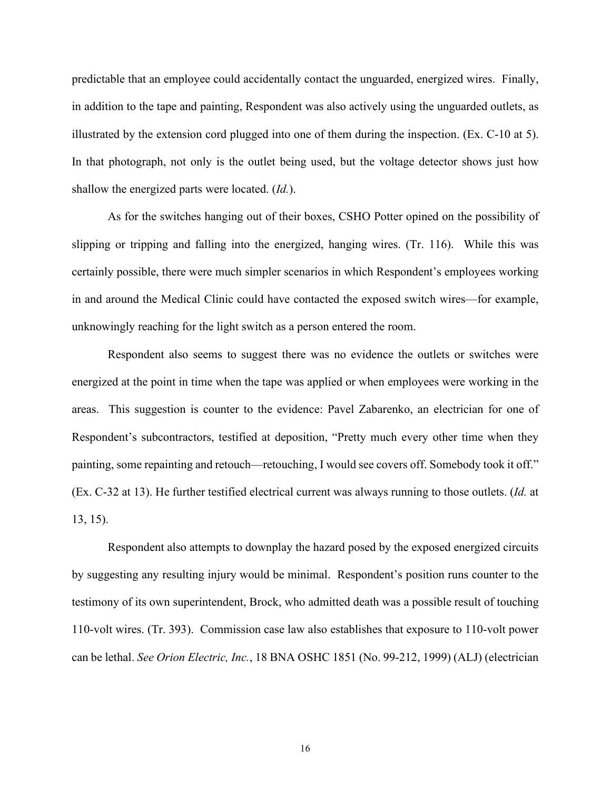predictable that an employee could accidentally contact the unguarded, energized wires. Finally, in addition to the tape and painting, Respondent was also actively using the unguarded outlets, as illustrated by the extension cord plugged into one of them during the inspection. (Ex. C-10 at 5). In that photograph, not only is the outlet being used, but the voltage detector shows just how shallow the energized parts were located. (*Id.*).

As for the switches hanging out of their boxes, CSHO Potter opined on the possibility of slipping or tripping and falling into the energized, hanging wires. (Tr. 116). While this was certainly possible, there were much simpler scenarios in which Respondent's employees working in and around the Medical Clinic could have contacted the exposed switch wires—for example, unknowingly reaching for the light switch as a person entered the room.

Respondent also seems to suggest there was no evidence the outlets or switches were energized at the point in time when the tape was applied or when employees were working in the areas. This suggestion is counter to the evidence: Pavel Zabarenko, an electrician for one of Respondent's subcontractors, testified at deposition, "Pretty much every other time when they painting, some repainting and retouch—retouching, I would see covers off. Somebody took it off." (Ex. C-32 at 13). He further testified electrical current was always running to those outlets. (*Id.* at 13, 15).

 Respondent also attempts to downplay the hazard posed by the exposed energized circuits by suggesting any resulting injury would be minimal. Respondent's position runs counter to the testimony of its own superintendent, Brock, who admitted death was a possible result of touching 110-volt wires. (Tr. 393). Commission case law also establishes that exposure to 110-volt power can be lethal. *See Orion Electric, Inc.*, 18 BNA OSHC 1851 (No. 99-212, 1999) (ALJ) (electrician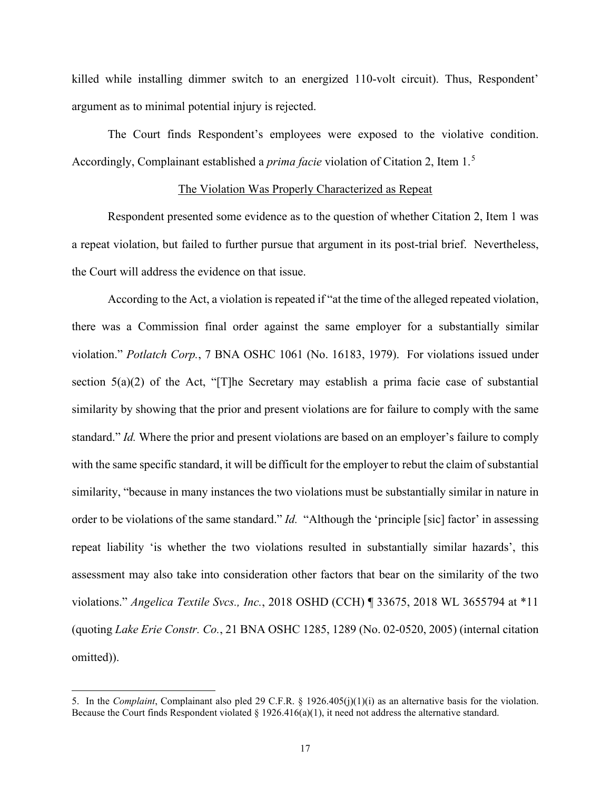killed while installing dimmer switch to an energized 110-volt circuit). Thus, Respondent' argument as to minimal potential injury is rejected.

 The Court finds Respondent's employees were exposed to the violative condition. Accordingly, Complainant established a *prima facie* violation of Citation 2, Item 1.[5](#page-16-0)

# The Violation Was Properly Characterized as Repeat

Respondent presented some evidence as to the question of whether Citation 2, Item 1 was a repeat violation, but failed to further pursue that argument in its post-trial brief. Nevertheless, the Court will address the evidence on that issue.

According to the Act, a violation is repeated if "at the time of the alleged repeated violation, there was a Commission final order against the same employer for a substantially similar violation." *Potlatch Corp.*, 7 BNA OSHC 1061 (No. 16183, 1979). For violations issued under section  $5(a)(2)$  of the Act, "[T]he Secretary may establish a prima facie case of substantial similarity by showing that the prior and present violations are for failure to comply with the same standard." *Id.* Where the prior and present violations are based on an employer's failure to comply with the same specific standard, it will be difficult for the employer to rebut the claim of substantial similarity, "because in many instances the two violations must be substantially similar in nature in order to be violations of the same standard." *Id.* "Although the 'principle [sic] factor' in assessing repeat liability 'is whether the two violations resulted in substantially similar hazards', this assessment may also take into consideration other factors that bear on the similarity of the two violations." *Angelica Textile Svcs., Inc.*, 2018 OSHD (CCH) ¶ 33675, 2018 WL 3655794 at \*11 (quoting *Lake Erie Constr. Co.*, 21 BNA OSHC 1285, 1289 (No. 02-0520, 2005) (internal citation omitted)).

<span id="page-16-0"></span><sup>5.</sup> In the *Complaint*, Complainant also pled 29 C.F.R. § 1926.405(j)(1)(i) as an alternative basis for the violation. Because the Court finds Respondent violated  $\S 1926.416(a)(1)$ , it need not address the alternative standard.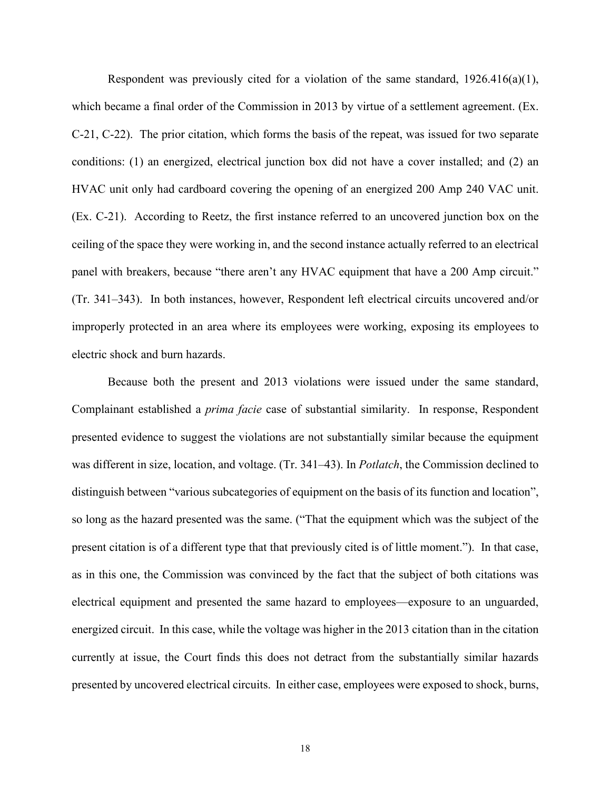Respondent was previously cited for a violation of the same standard,  $1926.416(a)(1)$ , which became a final order of the Commission in 2013 by virtue of a settlement agreement. (Ex. C-21, C-22). The prior citation, which forms the basis of the repeat, was issued for two separate conditions: (1) an energized, electrical junction box did not have a cover installed; and (2) an HVAC unit only had cardboard covering the opening of an energized 200 Amp 240 VAC unit. (Ex. C-21). According to Reetz, the first instance referred to an uncovered junction box on the ceiling of the space they were working in, and the second instance actually referred to an electrical panel with breakers, because "there aren't any HVAC equipment that have a 200 Amp circuit." (Tr. 341–343). In both instances, however, Respondent left electrical circuits uncovered and/or improperly protected in an area where its employees were working, exposing its employees to electric shock and burn hazards.

Because both the present and 2013 violations were issued under the same standard, Complainant established a *prima facie* case of substantial similarity. In response, Respondent presented evidence to suggest the violations are not substantially similar because the equipment was different in size, location, and voltage. (Tr. 341–43). In *Potlatch*, the Commission declined to distinguish between "various subcategories of equipment on the basis of its function and location", so long as the hazard presented was the same. ("That the equipment which was the subject of the present citation is of a different type that that previously cited is of little moment."). In that case, as in this one, the Commission was convinced by the fact that the subject of both citations was electrical equipment and presented the same hazard to employees—exposure to an unguarded, energized circuit. In this case, while the voltage was higher in the 2013 citation than in the citation currently at issue, the Court finds this does not detract from the substantially similar hazards presented by uncovered electrical circuits. In either case, employees were exposed to shock, burns,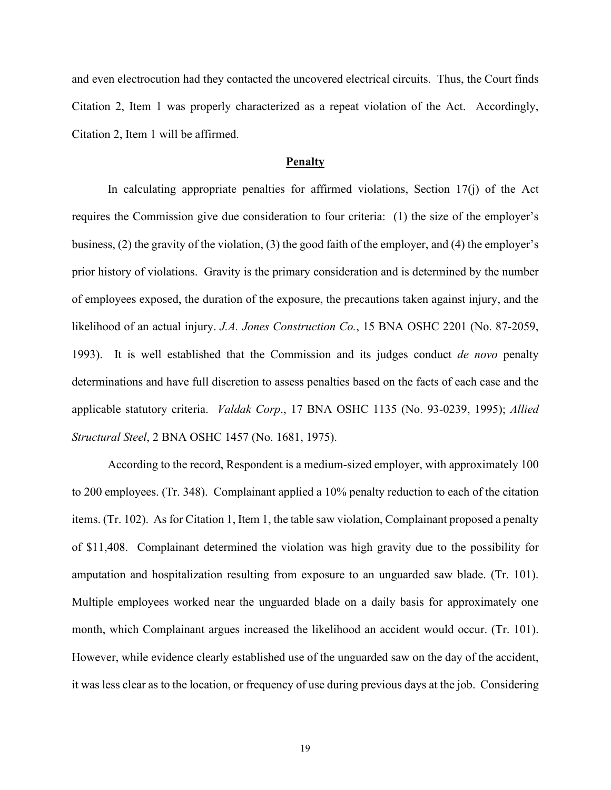and even electrocution had they contacted the uncovered electrical circuits. Thus, the Court finds Citation 2, Item 1 was properly characterized as a repeat violation of the Act. Accordingly, Citation 2, Item 1 will be affirmed.

## **Penalty**

In calculating appropriate penalties for affirmed violations, Section 17(j) of the Act requires the Commission give due consideration to four criteria: (1) the size of the employer's business, (2) the gravity of the violation, (3) the good faith of the employer, and (4) the employer's prior history of violations. Gravity is the primary consideration and is determined by the number of employees exposed, the duration of the exposure, the precautions taken against injury, and the likelihood of an actual injury. *J.A. Jones Construction Co.*, 15 BNA OSHC 2201 (No. 87-2059, 1993). It is well established that the Commission and its judges conduct *de novo* penalty determinations and have full discretion to assess penalties based on the facts of each case and the applicable statutory criteria. *Valdak Corp*., 17 BNA OSHC 1135 (No. 93-0239, 1995); *Allied Structural Steel*, 2 BNA OSHC 1457 (No. 1681, 1975).

According to the record, Respondent is a medium-sized employer, with approximately 100 to 200 employees. (Tr. 348). Complainant applied a 10% penalty reduction to each of the citation items. (Tr. 102). As for Citation 1, Item 1, the table saw violation, Complainant proposed a penalty of \$11,408. Complainant determined the violation was high gravity due to the possibility for amputation and hospitalization resulting from exposure to an unguarded saw blade. (Tr. 101). Multiple employees worked near the unguarded blade on a daily basis for approximately one month, which Complainant argues increased the likelihood an accident would occur. (Tr. 101). However, while evidence clearly established use of the unguarded saw on the day of the accident, it was less clear as to the location, or frequency of use during previous days at the job. Considering